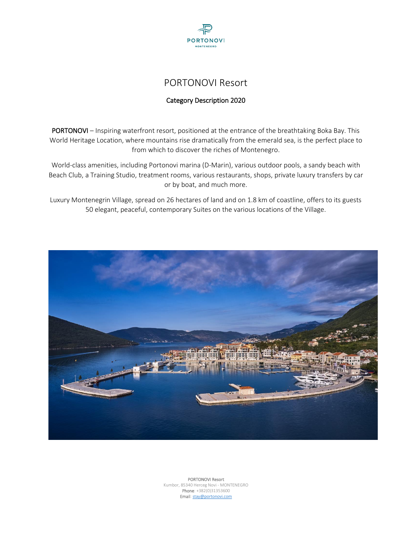

# PORTONOVI Resort

# Category Description 2020

PORTONOVI – Inspiring waterfront resort, positioned at the entrance of the breathtaking Boka Bay. This World Heritage Location, where mountains rise dramatically from the emerald sea, is the perfect place to from which to discover the riches of Montenegro.

World-class amenities, including Portonovi marina (D-Marin), various outdoor pools, a sandy beach with Beach Club, a Training Studio, treatment rooms, various restaurants, shops, private luxury transfers by car or by boat, and much more.

Luxury Montenegrin Village, spread on 26 hectares of land and on 1.8 km of coastline, offers to its guests 50 elegant, peaceful, contemporary Suites on the various locations of the Village.

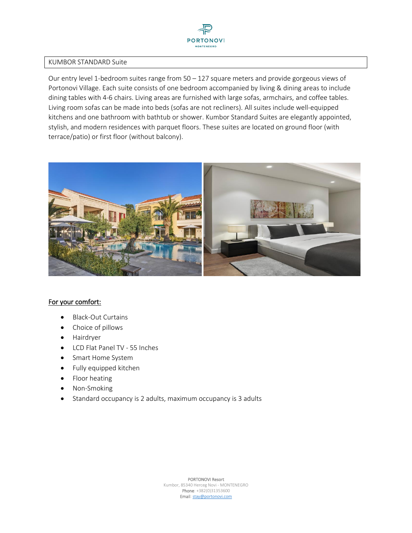

#### KUMBOR STANDARD Suite

Our entry level 1-bedroom suites range from  $50 - 127$  square meters and provide gorgeous views of Portonovi Village. Each suite consists of one bedroom accompanied by living & dining areas to include dining tables with 4-6 chairs. Living areas are furnished with large sofas, armchairs, and coffee tables. Living room sofas can be made into beds (sofas are not recliners). All suites include well-equipped kitchens and one bathroom with bathtub or shower. Kumbor Standard Suites are elegantly appointed, stylish, and modern residences with parquet floors. These suites are located on ground floor (with terrace/patio) or first floor (without balcony).



#### For your comfort:

- Black-Out Curtains
- Choice of pillows
- Hairdryer
- LCD Flat Panel TV 55 Inches
- Smart Home System
- Fully equipped kitchen
- Floor heating
- Non-Smoking
- Standard occupancy is 2 adults, maximum occupancy is 3 adults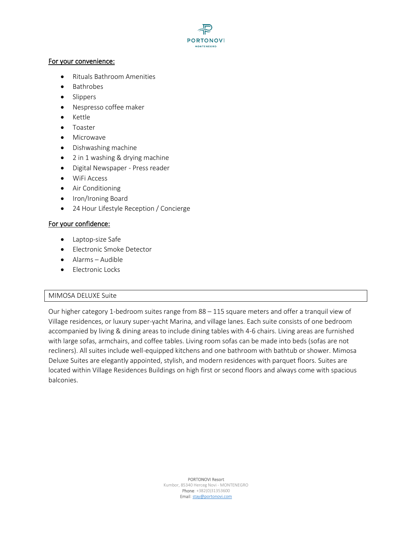

#### For your convenience:

- Rituals Bathroom Amenities
- Bathrobes
- Slippers
- Nespresso coffee maker
- Kettle
- Toaster
- Microwave
- Dishwashing machine
- 2 in 1 washing & drying machine
- Digital Newspaper Press reader
- WiFi Access
- Air Conditioning
- Iron/Ironing Board
- 24 Hour Lifestyle Reception / Concierge

#### For your confidence:

- Laptop-size Safe
- Electronic Smoke Detector
- Alarms Audible
- Electronic Locks

#### MIMOSA DELUXE Suite

Our higher category 1-bedroom suites range from 88 – 115 square meters and offer a tranquil view of Village residences, or luxury super-yacht Marina, and village lanes. Each suite consists of one bedroom accompanied by living & dining areas to include dining tables with 4-6 chairs. Living areas are furnished with large sofas, armchairs, and coffee tables. Living room sofas can be made into beds (sofas are not recliners). All suites include well-equipped kitchens and one bathroom with bathtub or shower. Mimosa Deluxe Suites are elegantly appointed, stylish, and modern residences with parquet floors. Suites are located within Village Residences Buildings on high first or second floors and always come with spacious balconies.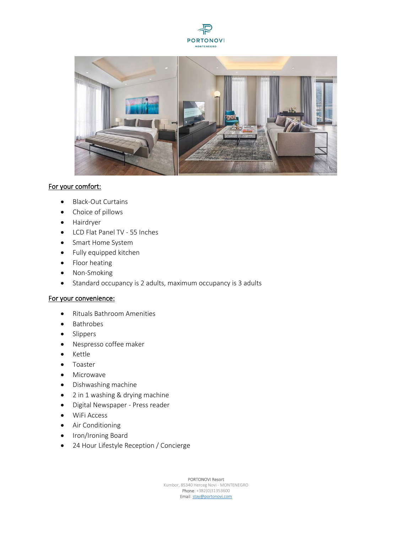



# For your comfort:

- Black-Out Curtains
- Choice of pillows
- Hairdryer
- LCD Flat Panel TV 55 Inches
- Smart Home System
- Fully equipped kitchen
- Floor heating
- Non-Smoking
- Standard occupancy is 2 adults, maximum occupancy is 3 adults

#### For your convenience:

- Rituals Bathroom Amenities
- Bathrobes
- Slippers
- Nespresso coffee maker
- Kettle
- Toaster
- Microwave
- Dishwashing machine
- 2 in 1 washing & drying machine
- Digital Newspaper Press reader
- WiFi Access
- Air Conditioning
- Iron/Ironing Board
- 24 Hour Lifestyle Reception / Concierge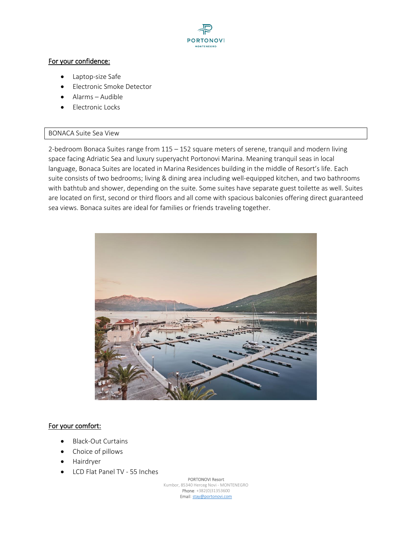

## For your confidence:

- Laptop-size Safe
- Electronic Smoke Detector
- Alarms Audible
- Electronic Locks

## BONACA Suite Sea View

2-bedroom Bonaca Suites range from 115 – 152 square meters of serene, tranquil and modern living space facing Adriatic Sea and luxury superyacht Portonovi Marina. Meaning tranquil seas in local language, Bonaca Suites are located in Marina Residences building in the middle of Resort's life. Each suite consists of two bedrooms; living & dining area including well-equipped kitchen, and two bathrooms with bathtub and shower, depending on the suite. Some suites have separate guest toilette as well. Suites are located on first, second or third floors and all come with spacious balconies offering direct guaranteed sea views. Bonaca suites are ideal for families or friends traveling together.



#### For your comfort:

- Black-Out Curtains
- Choice of pillows
- Hairdryer
- LCD Flat Panel TV 55 Inches

PORTONOVI Resort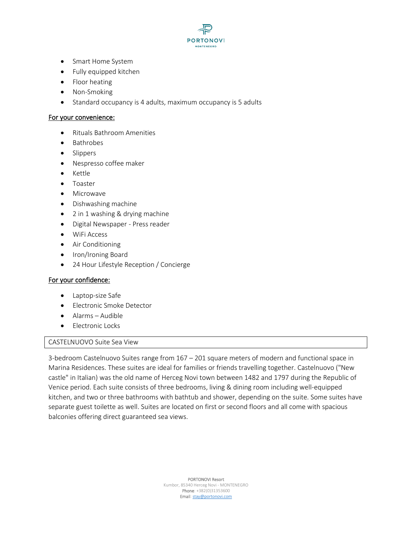

- Smart Home System
- Fully equipped kitchen
- Floor heating
- Non-Smoking
- Standard occupancy is 4 adults, maximum occupancy is 5 adults

#### For your convenience:

- Rituals Bathroom Amenities
- Bathrobes
- Slippers
- Nespresso coffee maker
- Kettle
- Toaster
- Microwave
- Dishwashing machine
- 2 in 1 washing & drying machine
- Digital Newspaper Press reader
- WiFi Access
- Air Conditioning
- Iron/Ironing Board
- 24 Hour Lifestyle Reception / Concierge

#### For your confidence:

- Laptop-size Safe
- Electronic Smoke Detector
- Alarms Audible
- Electronic Locks

#### CASTELNUOVO Suite Sea View

3-bedroom Castelnuovo Suites range from 167 – 201 square meters of modern and functional space in Marina Residences. These suites are ideal for families or friends travelling together. Castelnuovo ("New castle" in Italian) was the old name of Herceg Novi town between 1482 and 1797 during the Republic of Venice period. Each suite consists of three bedrooms, living & dining room including well-equipped kitchen, and two or three bathrooms with bathtub and shower, depending on the suite. Some suites have separate guest toilette as well. Suites are located on first or second floors and all come with spacious balconies offering direct guaranteed sea views.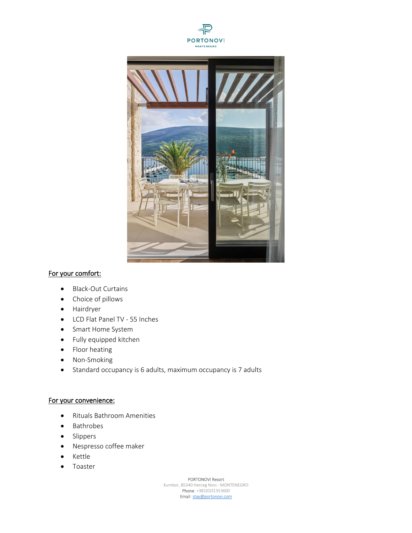



# For your comfort:

- Black-Out Curtains
- Choice of pillows
- Hairdryer
- LCD Flat Panel TV 55 Inches
- Smart Home System
- Fully equipped kitchen
- Floor heating
- Non-Smoking
- Standard occupancy is 6 adults, maximum occupancy is 7 adults

# For your convenience:

- Rituals Bathroom Amenities
- Bathrobes
- Slippers
- Nespresso coffee maker
- Kettle
- Toaster

PORTONOVI Resort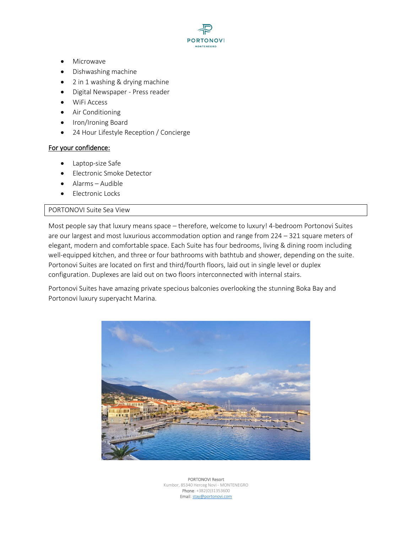**PORTONOVI** 

- Microwave
- Dishwashing machine
- 2 in 1 washing & drying machine
- Digital Newspaper Press reader
- WiFi Access
- Air Conditioning
- Iron/Ironing Board
- 24 Hour Lifestyle Reception / Concierge

#### For your confidence:

- Laptop-size Safe
- Electronic Smoke Detector
- Alarms Audible
- Electronic Locks

#### PORTONOVI Suite Sea View

Most people say that luxury means space – therefore, welcome to luxury! 4-bedroom Portonovi Suites are our largest and most luxurious accommodation option and range from 224 – 321 square meters of elegant, modern and comfortable space. Each Suite has four bedrooms, living & dining room including well-equipped kitchen, and three or four bathrooms with bathtub and shower, depending on the suite. Portonovi Suites are located on first and third/fourth floors, laid out in single level or duplex configuration. Duplexes are laid out on two floors interconnected with internal stairs.

Portonovi Suites have amazing private specious balconies overlooking the stunning Boka Bay and Portonovi luxury superyacht Marina.

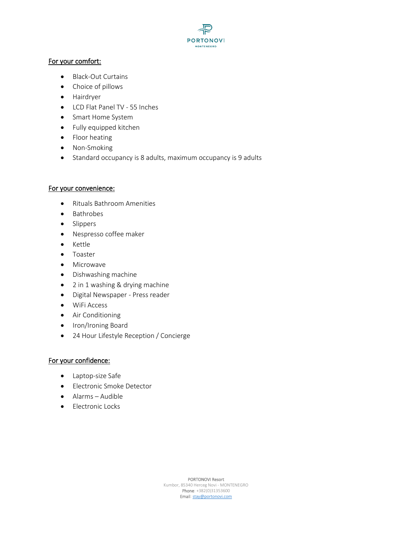

## For your comfort:

- Black-Out Curtains
- Choice of pillows
- Hairdryer
- LCD Flat Panel TV 55 Inches
- Smart Home System
- Fully equipped kitchen
- Floor heating
- Non-Smoking
- Standard occupancy is 8 adults, maximum occupancy is 9 adults

## For your convenience:

- Rituals Bathroom Amenities
- Bathrobes
- Slippers
- Nespresso coffee maker
- Kettle
- Toaster
- Microwave
- Dishwashing machine
- 2 in 1 washing & drying machine
- Digital Newspaper Press reader
- WiFi Access
- Air Conditioning
- Iron/Ironing Board
- 24 Hour Lifestyle Reception / Concierge

# For your confidence:

- Laptop-size Safe
- Electronic Smoke Detector
- Alarms Audible
- Electronic Locks